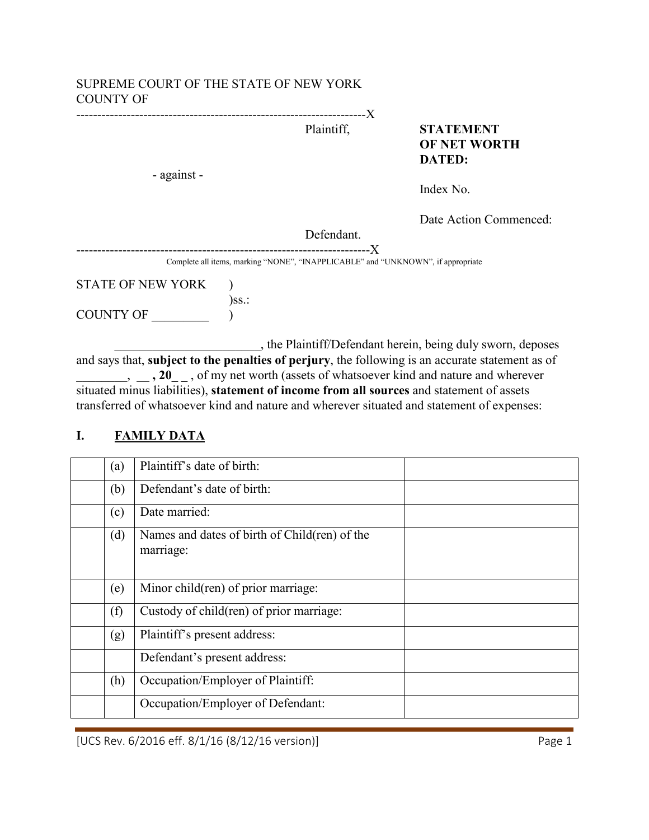#### SUPREME COURT OF THE STATE OF NEW YORK COUNTY OF

---------------------------------------------------------------------X

- against -

Plaintiff, **STATEMENT OF NET WORTH DATED:**

Index No.

Date Action Commenced:

Defendant.

----------------------------------------------------------------------X Complete all items, marking "NONE", "INAPPLICABLE" and "UNKNOWN", if appropriate

STATE OF NEW YORK )  $)$ ss.: COUNTY OF \_\_\_\_\_\_\_\_\_ )

\_\_\_\_\_\_\_\_\_\_\_\_\_\_\_\_\_\_\_\_\_\_\_, the Plaintiff/Defendant herein, being duly sworn, deposes and says that, **subject to the penalties of perjury**, the following is an accurate statement as of  $\ldots$ ,  $\ldots$ ,  $20$ <sub>--</sub>, of my net worth (assets of whatsoever kind and nature and wherever situated minus liabilities), **statement of income from all sources** and statement of assets transferred of whatsoever kind and nature and wherever situated and statement of expenses:

| (a) | Plaintiff's date of birth:                                 |
|-----|------------------------------------------------------------|
| (b) | Defendant's date of birth:                                 |
| (c) | Date married:                                              |
| (d) | Names and dates of birth of Child(ren) of the<br>marriage: |
| (e) | Minor child(ren) of prior marriage:                        |
| (f) | Custody of child(ren) of prior marriage:                   |
| (g) | Plaintiff's present address:                               |
|     | Defendant's present address:                               |
| (h) | Occupation/Employer of Plaintiff:                          |
|     | Occupation/Employer of Defendant:                          |

# **I. FAMILY DATA**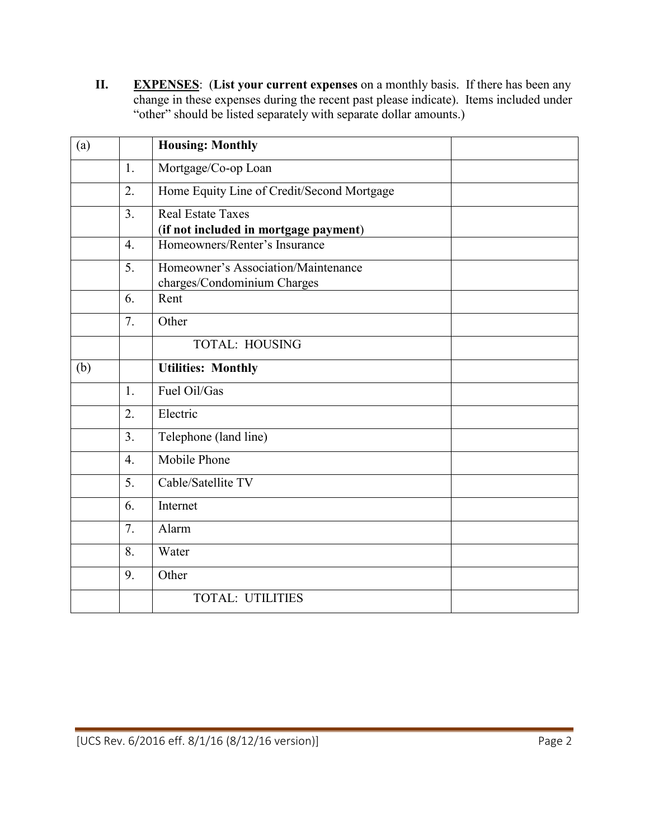**II. EXPENSES**: (**List your current expenses** on a monthly basis. If there has been any change in these expenses during the recent past please indicate). Items included under "other" should be listed separately with separate dollar amounts.)

| (a) |                  | <b>Housing: Monthly</b>                                            |
|-----|------------------|--------------------------------------------------------------------|
|     | 1.               | Mortgage/Co-op Loan                                                |
|     | 2.               | Home Equity Line of Credit/Second Mortgage                         |
|     | 3 <sub>1</sub>   | <b>Real Estate Taxes</b><br>(if not included in mortgage payment)  |
|     | $\overline{4}$ . | Homeowners/Renter's Insurance                                      |
|     | 5.               | Homeowner's Association/Maintenance<br>charges/Condominium Charges |
|     | 6.               | Rent                                                               |
|     | 7.               | Other                                                              |
|     |                  | <b>TOTAL: HOUSING</b>                                              |
| (b) |                  | <b>Utilities: Monthly</b>                                          |
|     | $\mathbf{1}$ .   | Fuel Oil/Gas                                                       |
|     | $\overline{2}$ . | Electric                                                           |
|     | 3 <sub>1</sub>   | Telephone (land line)                                              |
|     | $\overline{4}$ . | <b>Mobile Phone</b>                                                |
|     | 5.               | Cable/Satellite TV                                                 |
|     | 6.               | Internet                                                           |
|     | 7.               | Alarm                                                              |
|     | 8.               | Water                                                              |
|     | 9.               | Other                                                              |
|     |                  | <b>TOTAL: UTILITIES</b>                                            |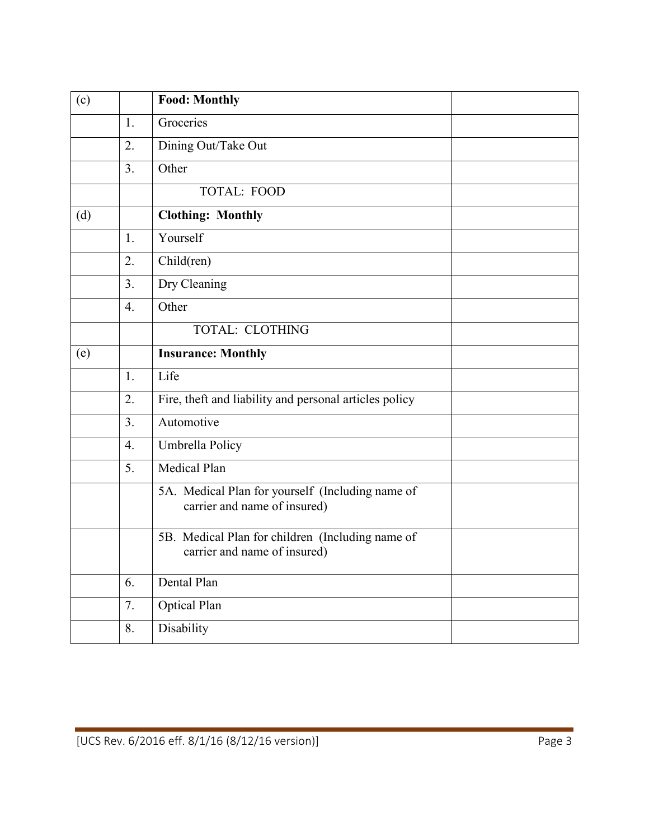| (c) |                  | <b>Food: Monthly</b>                                                             |  |
|-----|------------------|----------------------------------------------------------------------------------|--|
|     | 1.               | Groceries                                                                        |  |
|     | 2.               | Dining Out/Take Out                                                              |  |
|     | 3 <sub>1</sub>   | Other                                                                            |  |
|     |                  | TOTAL: FOOD                                                                      |  |
| (d) |                  | <b>Clothing: Monthly</b>                                                         |  |
|     | $\mathbf{1}$ .   | Yourself                                                                         |  |
|     | 2.               | Child(ren)                                                                       |  |
|     | 3 <sub>1</sub>   | Dry Cleaning                                                                     |  |
|     | $\overline{4}$ . | Other                                                                            |  |
|     |                  | <b>TOTAL: CLOTHING</b>                                                           |  |
| (e) |                  | <b>Insurance: Monthly</b>                                                        |  |
|     | 1.               | Life                                                                             |  |
|     | 2.               | Fire, theft and liability and personal articles policy                           |  |
|     | 3 <sub>1</sub>   | Automotive                                                                       |  |
|     | $\overline{4}$ . | Umbrella Policy                                                                  |  |
|     | 5.               | Medical Plan                                                                     |  |
|     |                  | 5A. Medical Plan for yourself (Including name of<br>carrier and name of insured) |  |
|     |                  | 5B. Medical Plan for children (Including name of<br>carrier and name of insured) |  |
|     | 6.               | Dental Plan                                                                      |  |
|     | 7.               | Optical Plan                                                                     |  |
|     | 8.               | Disability                                                                       |  |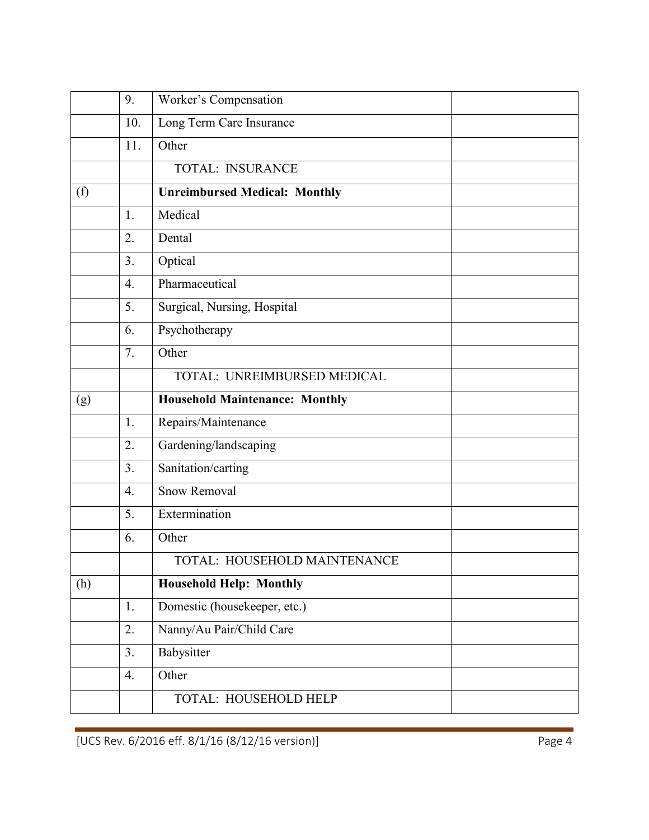|     | 9.               | Worker's Compensation                 |
|-----|------------------|---------------------------------------|
|     | 10.              | Long Term Care Insurance              |
|     | 11.              | Other                                 |
|     |                  | TOTAL: INSURANCE                      |
| (f) |                  | <b>Unreimbursed Medical: Monthly</b>  |
|     | 1.               | Medical                               |
|     | 2.               | Dental                                |
|     | 3 <sub>1</sub>   | Optical                               |
|     | $\overline{4}$ . | Pharmaceutical                        |
|     | 5.               | Surgical, Nursing, Hospital           |
|     | 6.               | Psychotherapy                         |
|     | 7.               | Other                                 |
|     |                  | TOTAL: UNREIMBURSED MEDICAL           |
| (g) |                  | <b>Household Maintenance: Monthly</b> |
|     | 1.               | Repairs/Maintenance                   |
|     | 2.               | Gardening/landscaping                 |
|     | 3 <sub>1</sub>   | Sanitation/carting                    |
|     | $\overline{4}$ . | <b>Snow Removal</b>                   |
|     | 5.               | Extermination                         |
|     | 6.               | Other                                 |
|     |                  | TOTAL: HOUSEHOLD MAINTENANCE          |
| (h) |                  | <b>Household Help: Monthly</b>        |
|     | 1.               | Domestic (housekeeper, etc.)          |
|     | 2.               | Nanny/Au Pair/Child Care              |
|     | 3.               | Babysitter                            |
|     | 4.               | Other                                 |
|     |                  | TOTAL: HOUSEHOLD HELP                 |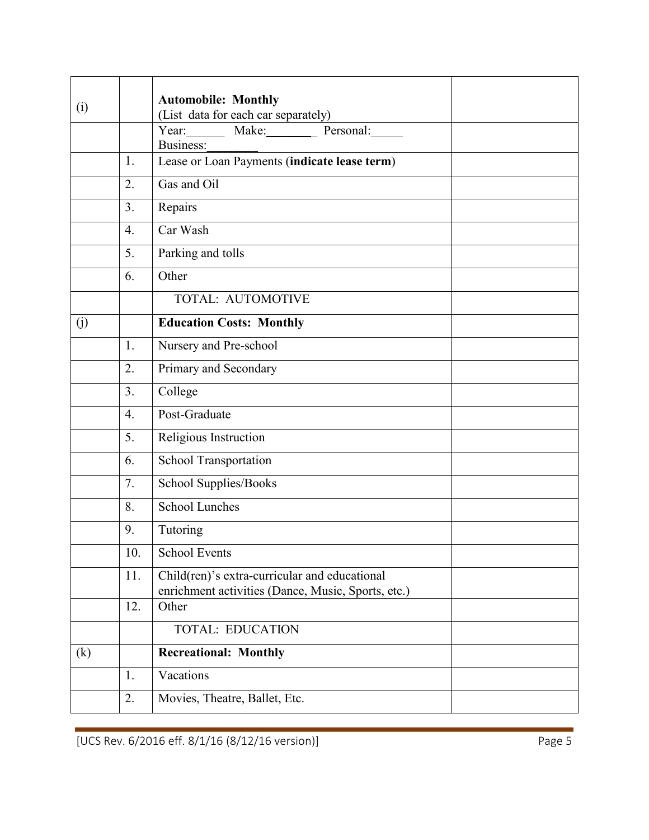|     |                   | <b>Automobile: Monthly</b>                         |
|-----|-------------------|----------------------------------------------------|
| (i) |                   | (List data for each car separately)                |
|     |                   | Year: Make: Personal:                              |
|     |                   | Business:                                          |
|     | 1.                | Lease or Loan Payments (indicate lease term)       |
|     | 2.                | Gas and Oil                                        |
|     | 3 <sub>1</sub>    | Repairs                                            |
|     | 4.                | Car Wash                                           |
|     | 5.                | Parking and tolls                                  |
|     | 6.                | Other                                              |
|     |                   | TOTAL: AUTOMOTIVE                                  |
| (j) |                   | <b>Education Costs: Monthly</b>                    |
|     | 1.                | Nursery and Pre-school                             |
|     | 2.                | Primary and Secondary                              |
|     | 3.                | College                                            |
|     | $\overline{4}$ .  | Post-Graduate                                      |
|     | 5.                | Religious Instruction                              |
|     | 6.                | School Transportation                              |
|     | 7.                | School Supplies/Books                              |
|     | 8.                | <b>School Lunches</b>                              |
|     | 9.                | Tutoring                                           |
|     | $\overline{10}$ . | School Events                                      |
|     | 11.               | Child(ren)'s extra-curricular and educational      |
|     | 12.               | enrichment activities (Dance, Music, Sports, etc.) |
|     |                   | Other                                              |
|     |                   | <b>TOTAL: EDUCATION</b>                            |
| (k) |                   | <b>Recreational: Monthly</b>                       |
|     | 1.                | Vacations                                          |
|     | 2.                | Movies, Theatre, Ballet, Etc.                      |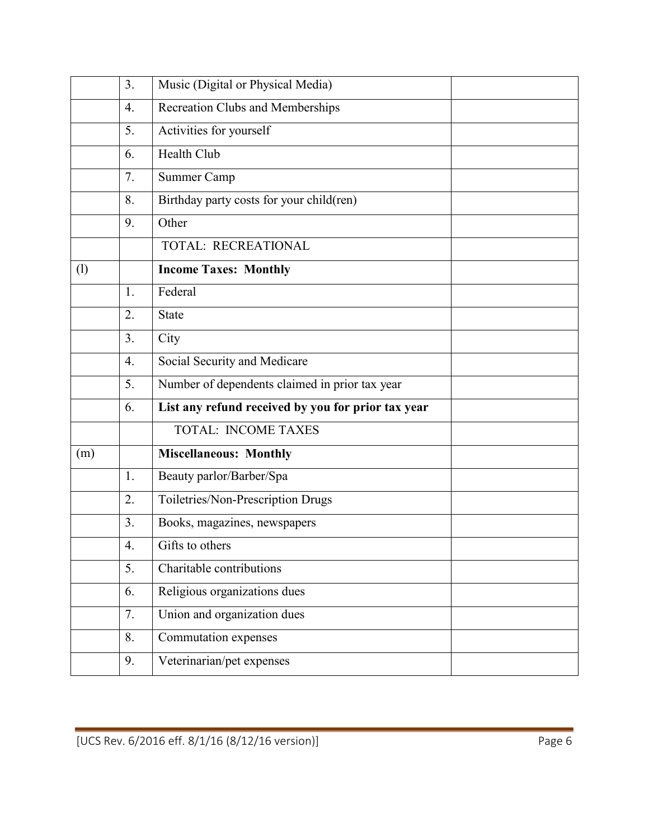|     | 3 <sub>1</sub>   | Music (Digital or Physical Media)                  |
|-----|------------------|----------------------------------------------------|
|     | $\overline{4}$ . | <b>Recreation Clubs and Memberships</b>            |
|     | 5.               | Activities for yourself                            |
|     | 6.               | <b>Health Club</b>                                 |
|     | 7.               | Summer Camp                                        |
|     | 8.               | Birthday party costs for your child(ren)           |
|     | 9.               | Other                                              |
|     |                  | TOTAL: RECREATIONAL                                |
| (1) |                  | <b>Income Taxes: Monthly</b>                       |
|     | 1.               | Federal                                            |
|     | 2.               | State                                              |
|     | 3.               | City                                               |
|     | 4.               | Social Security and Medicare                       |
|     | 5.               | Number of dependents claimed in prior tax year     |
|     | 6.               | List any refund received by you for prior tax year |
|     |                  | <b>TOTAL: INCOME TAXES</b>                         |
| (m) |                  | <b>Miscellaneous: Monthly</b>                      |
|     | 1.               | Beauty parlor/Barber/Spa                           |
|     | 2.               | Toiletries/Non-Prescription Drugs                  |
|     | 3.               | Books, magazines, newspapers                       |
|     | $\overline{4}$ . | Gifts to others                                    |
|     | 5.               | Charitable contributions                           |
|     | 6.               | Religious organizations dues                       |
|     | 7.               | Union and organization dues                        |
|     | 8.               | Commutation expenses                               |
|     | 9.               | Veterinarian/pet expenses                          |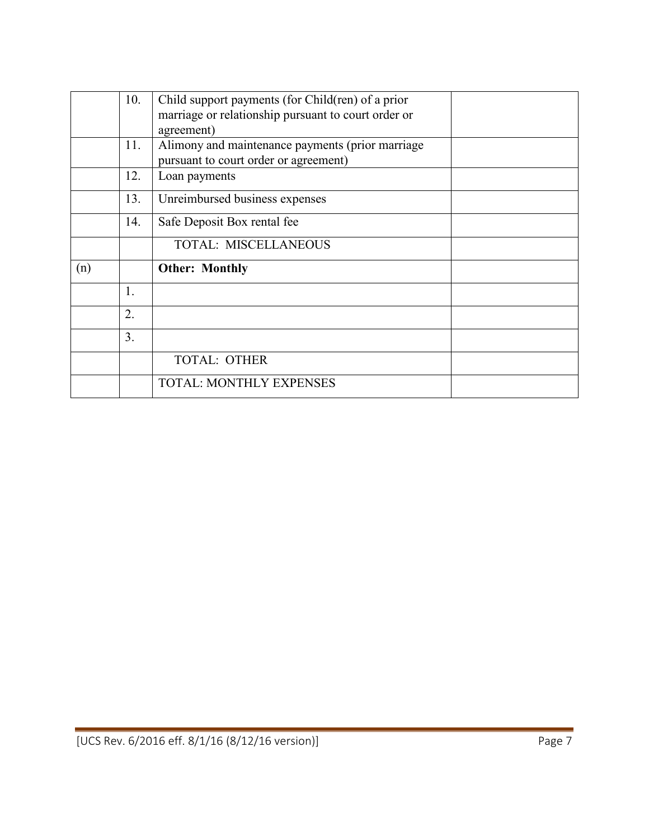|     | 10.            | Child support payments (for Child(ren) of a prior   |  |
|-----|----------------|-----------------------------------------------------|--|
|     |                | marriage or relationship pursuant to court order or |  |
|     |                | agreement)                                          |  |
|     | 11.            | Alimony and maintenance payments (prior marriage    |  |
|     |                | pursuant to court order or agreement)               |  |
|     | 12.            | Loan payments                                       |  |
|     | 13.            | Unreimbursed business expenses                      |  |
|     | 14.            | Safe Deposit Box rental fee                         |  |
|     |                | <b>TOTAL: MISCELLANEOUS</b>                         |  |
| (n) |                | <b>Other: Monthly</b>                               |  |
|     | $\mathbf{1}$ . |                                                     |  |
|     | 2.             |                                                     |  |
|     | 3 <sub>1</sub> |                                                     |  |
|     |                | <b>TOTAL: OTHER</b>                                 |  |
|     |                | <b>TOTAL: MONTHLY EXPENSES</b>                      |  |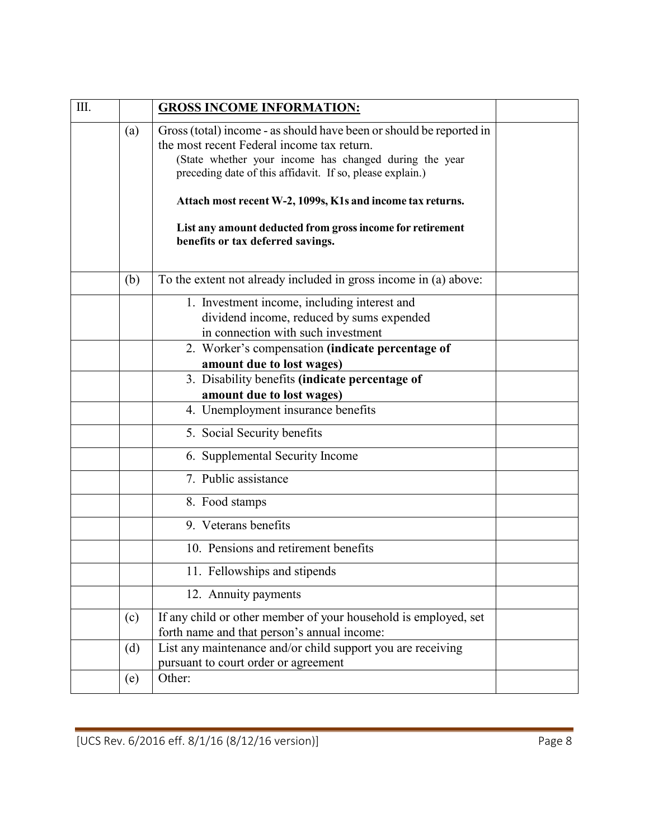| Ш. |     | <b>GROSS INCOME INFORMATION:</b>                                                                                                                                                                                                                                                                                                                                                                         |  |
|----|-----|----------------------------------------------------------------------------------------------------------------------------------------------------------------------------------------------------------------------------------------------------------------------------------------------------------------------------------------------------------------------------------------------------------|--|
|    | (a) | Gross (total) income - as should have been or should be reported in<br>the most recent Federal income tax return.<br>(State whether your income has changed during the year<br>preceding date of this affidavit. If so, please explain.)<br>Attach most recent W-2, 1099s, K1s and income tax returns.<br>List any amount deducted from gross income for retirement<br>benefits or tax deferred savings. |  |
|    |     |                                                                                                                                                                                                                                                                                                                                                                                                          |  |
|    | (b) | To the extent not already included in gross income in (a) above:                                                                                                                                                                                                                                                                                                                                         |  |
|    |     | 1. Investment income, including interest and<br>dividend income, reduced by sums expended<br>in connection with such investment                                                                                                                                                                                                                                                                          |  |
|    |     | 2. Worker's compensation (indicate percentage of<br>amount due to lost wages)                                                                                                                                                                                                                                                                                                                            |  |
|    |     | 3. Disability benefits (indicate percentage of<br>amount due to lost wages)                                                                                                                                                                                                                                                                                                                              |  |
|    |     | 4. Unemployment insurance benefits                                                                                                                                                                                                                                                                                                                                                                       |  |
|    |     | 5. Social Security benefits                                                                                                                                                                                                                                                                                                                                                                              |  |
|    |     | 6. Supplemental Security Income                                                                                                                                                                                                                                                                                                                                                                          |  |
|    |     | 7. Public assistance                                                                                                                                                                                                                                                                                                                                                                                     |  |
|    |     | 8. Food stamps                                                                                                                                                                                                                                                                                                                                                                                           |  |
|    |     | 9. Veterans benefits                                                                                                                                                                                                                                                                                                                                                                                     |  |
|    |     | 10. Pensions and retirement benefits                                                                                                                                                                                                                                                                                                                                                                     |  |
|    |     | 11. Fellowships and stipends                                                                                                                                                                                                                                                                                                                                                                             |  |
|    |     | 12. Annuity payments                                                                                                                                                                                                                                                                                                                                                                                     |  |
|    | (c) | If any child or other member of your household is employed, set<br>forth name and that person's annual income:                                                                                                                                                                                                                                                                                           |  |
|    | (d) | List any maintenance and/or child support you are receiving<br>pursuant to court order or agreement                                                                                                                                                                                                                                                                                                      |  |
|    | (e) | Other:                                                                                                                                                                                                                                                                                                                                                                                                   |  |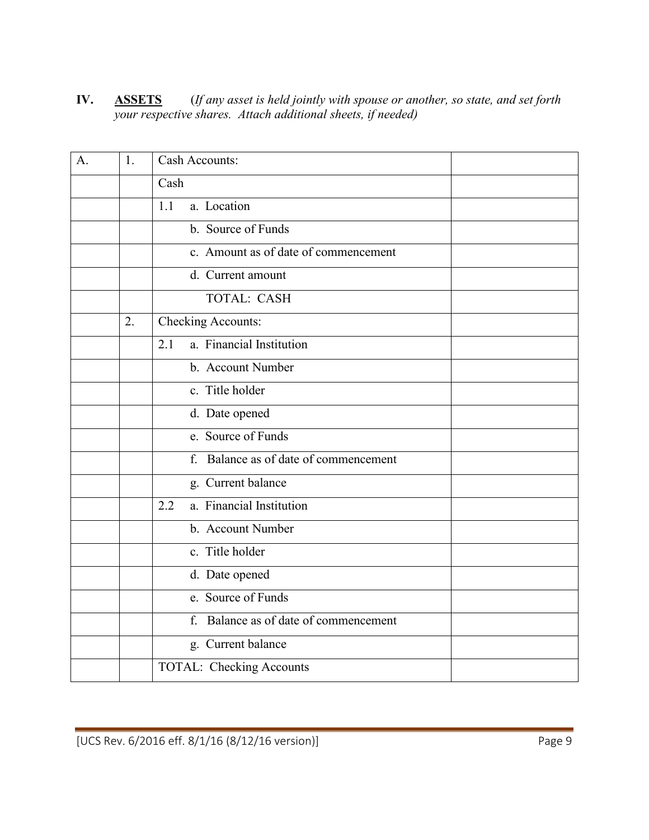**IV. ASSETS** (*If any asset is held jointly with spouse or another, so state, and set forth your respective shares. Attach additional sheets, if needed)*

| A. | 1.               | Cash Accounts:                                    |
|----|------------------|---------------------------------------------------|
|    |                  | Cash                                              |
|    |                  | 1.1<br>a. Location                                |
|    |                  | b. Source of Funds                                |
|    |                  | c. Amount as of date of commencement              |
|    |                  | d. Current amount                                 |
|    |                  | <b>TOTAL: CASH</b>                                |
|    | $\overline{2}$ . | Checking Accounts:                                |
|    |                  | a. Financial Institution<br>2.1                   |
|    |                  | b. Account Number                                 |
|    |                  | c. Title holder                                   |
|    |                  | d. Date opened                                    |
|    |                  | e. Source of Funds                                |
|    |                  | f. Balance as of date of commencement             |
|    |                  | g. Current balance                                |
|    |                  | a. Financial Institution<br>2.2                   |
|    |                  | b. Account Number                                 |
|    |                  | c. Title holder                                   |
|    |                  | d. Date opened                                    |
|    |                  | e. Source of Funds                                |
|    |                  | Balance as of date of commencement<br>$f_{\cdot}$ |
|    |                  | g. Current balance                                |
|    |                  | TOTAL: Checking Accounts                          |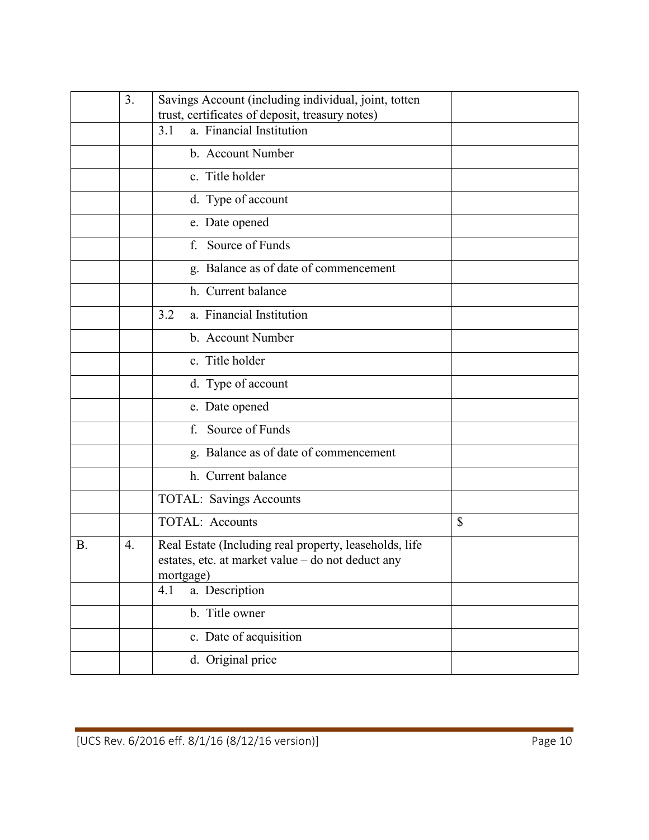|           | 3. | Savings Account (including individual, joint, totten                                                                     |              |
|-----------|----|--------------------------------------------------------------------------------------------------------------------------|--------------|
|           |    | trust, certificates of deposit, treasury notes)<br>a. Financial Institution<br>3.1                                       |              |
|           |    | b. Account Number                                                                                                        |              |
|           |    | c. Title holder                                                                                                          |              |
|           |    | d. Type of account                                                                                                       |              |
|           |    | e. Date opened                                                                                                           |              |
|           |    | Source of Funds<br>f.                                                                                                    |              |
|           |    | g. Balance as of date of commencement                                                                                    |              |
|           |    | h. Current balance                                                                                                       |              |
|           |    | a. Financial Institution<br>3.2                                                                                          |              |
|           |    | b. Account Number                                                                                                        |              |
|           |    | c. Title holder                                                                                                          |              |
|           |    | d. Type of account                                                                                                       |              |
|           |    | e. Date opened                                                                                                           |              |
|           |    | Source of Funds<br>f.                                                                                                    |              |
|           |    | g. Balance as of date of commencement                                                                                    |              |
|           |    | h. Current balance                                                                                                       |              |
|           |    | <b>TOTAL: Savings Accounts</b>                                                                                           |              |
|           |    | <b>TOTAL: Accounts</b>                                                                                                   | $\mathbb{S}$ |
| <b>B.</b> | 4. | Real Estate (Including real property, leaseholds, life<br>estates, etc. at market value - do not deduct any<br>mortgage) |              |
|           |    | 4.1<br>a. Description                                                                                                    |              |
|           |    | b. Title owner                                                                                                           |              |
|           |    | c. Date of acquisition                                                                                                   |              |
|           |    | d. Original price                                                                                                        |              |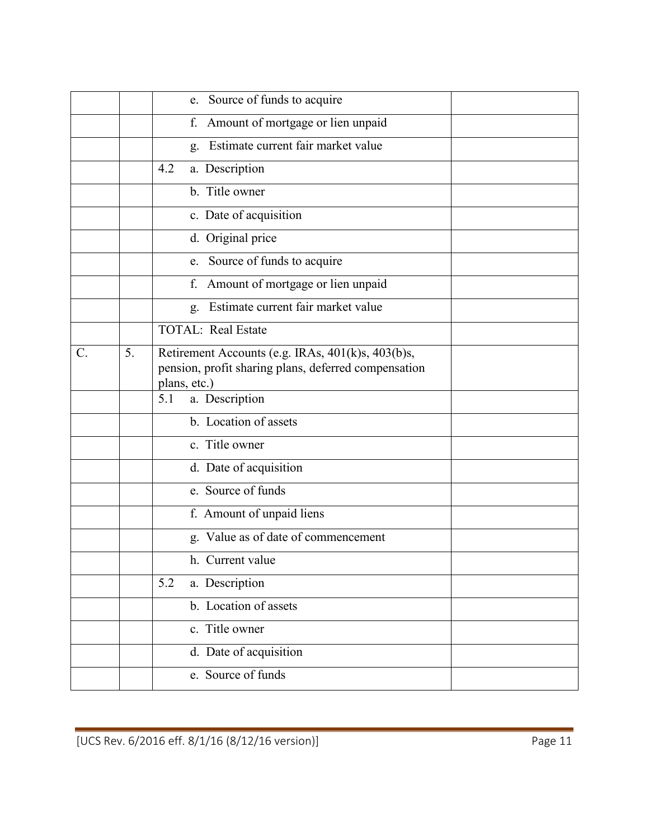|    |    | e. Source of funds to acquire                                                                                             |
|----|----|---------------------------------------------------------------------------------------------------------------------------|
|    |    | Amount of mortgage or lien unpaid<br>f.                                                                                   |
|    |    | Estimate current fair market value<br>g.                                                                                  |
|    |    | 4.2<br>a. Description                                                                                                     |
|    |    | b. Title owner                                                                                                            |
|    |    | c. Date of acquisition                                                                                                    |
|    |    | d. Original price                                                                                                         |
|    |    | Source of funds to acquire<br>e.                                                                                          |
|    |    | Amount of mortgage or lien unpaid<br>f.                                                                                   |
|    |    | Estimate current fair market value<br>g.                                                                                  |
|    |    | <b>TOTAL: Real Estate</b>                                                                                                 |
| C. | 5. | Retirement Accounts (e.g. IRAs, 401(k)s, 403(b)s,<br>pension, profit sharing plans, deferred compensation<br>plans, etc.) |
|    |    | 5.1<br>a. Description                                                                                                     |
|    |    | b. Location of assets                                                                                                     |
|    |    | c. Title owner                                                                                                            |
|    |    | d. Date of acquisition                                                                                                    |
|    |    | e. Source of funds                                                                                                        |
|    |    | f. Amount of unpaid liens                                                                                                 |
|    |    | g. Value as of date of commencement                                                                                       |
|    |    | h. Current value                                                                                                          |
|    |    | a. Description<br>5.2                                                                                                     |
|    |    | b. Location of assets                                                                                                     |
|    |    | c. Title owner                                                                                                            |
|    |    | d. Date of acquisition                                                                                                    |
|    |    | e. Source of funds                                                                                                        |
|    |    |                                                                                                                           |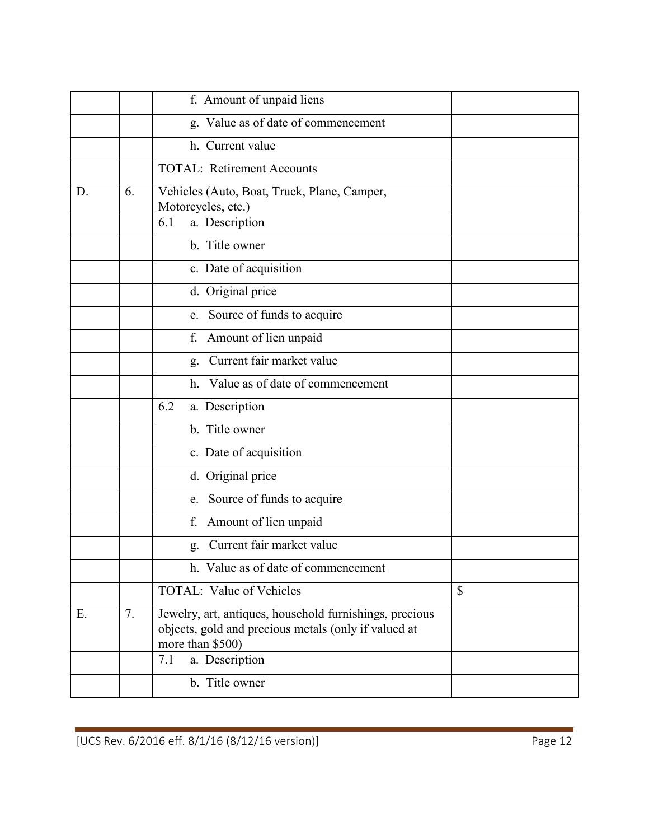|    |    | f. Amount of unpaid liens                                                                                                           |              |
|----|----|-------------------------------------------------------------------------------------------------------------------------------------|--------------|
|    |    | g. Value as of date of commencement                                                                                                 |              |
|    |    | h. Current value                                                                                                                    |              |
|    |    | <b>TOTAL: Retirement Accounts</b>                                                                                                   |              |
| D. | 6. | Vehicles (Auto, Boat, Truck, Plane, Camper,<br>Motorcycles, etc.)                                                                   |              |
|    |    | a. Description<br>6.1                                                                                                               |              |
|    |    | b. Title owner                                                                                                                      |              |
|    |    | c. Date of acquisition                                                                                                              |              |
|    |    | d. Original price                                                                                                                   |              |
|    |    | Source of funds to acquire<br>e.                                                                                                    |              |
|    |    | Amount of lien unpaid<br>f.                                                                                                         |              |
|    |    | Current fair market value<br>g.                                                                                                     |              |
|    |    | Value as of date of commencement<br>h.                                                                                              |              |
|    |    | 6.2<br>a. Description                                                                                                               |              |
|    |    | b. Title owner                                                                                                                      |              |
|    |    | c. Date of acquisition                                                                                                              |              |
|    |    | d. Original price                                                                                                                   |              |
|    |    | e. Source of funds to acquire                                                                                                       |              |
|    |    | Amount of lien unpaid<br>f.                                                                                                         |              |
|    |    | Current fair market value<br>g.                                                                                                     |              |
|    |    | h. Value as of date of commencement                                                                                                 |              |
|    |    | <b>TOTAL:</b> Value of Vehicles                                                                                                     | $\mathbb{S}$ |
| Ε. | 7. | Jewelry, art, antiques, household furnishings, precious<br>objects, gold and precious metals (only if valued at<br>more than \$500) |              |
|    |    | a. Description<br>7.1                                                                                                               |              |
|    |    | b. Title owner                                                                                                                      |              |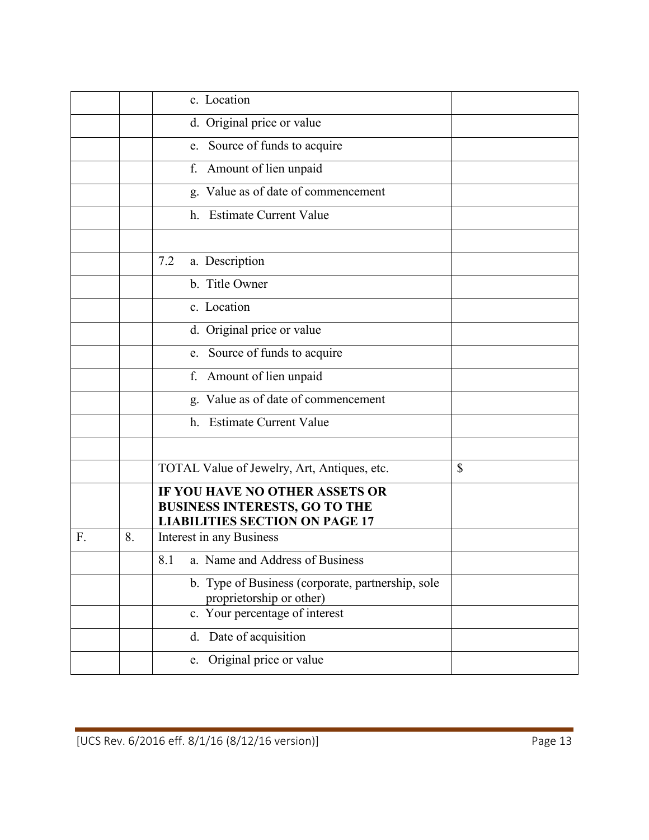|    |    | c. Location                                                                                                     |    |
|----|----|-----------------------------------------------------------------------------------------------------------------|----|
|    |    | d. Original price or value                                                                                      |    |
|    |    | e. Source of funds to acquire                                                                                   |    |
|    |    | f. Amount of lien unpaid                                                                                        |    |
|    |    | g. Value as of date of commencement                                                                             |    |
|    |    | h. Estimate Current Value                                                                                       |    |
|    |    |                                                                                                                 |    |
|    |    | 7.2<br>a. Description                                                                                           |    |
|    |    | b. Title Owner                                                                                                  |    |
|    |    | c. Location                                                                                                     |    |
|    |    | d. Original price or value                                                                                      |    |
|    |    | e. Source of funds to acquire                                                                                   |    |
|    |    | f. Amount of lien unpaid                                                                                        |    |
|    |    | g. Value as of date of commencement                                                                             |    |
|    |    | h. Estimate Current Value                                                                                       |    |
|    |    |                                                                                                                 |    |
|    |    | TOTAL Value of Jewelry, Art, Antiques, etc.                                                                     | \$ |
|    |    | IF YOU HAVE NO OTHER ASSETS OR<br><b>BUSINESS INTERESTS, GO TO THE</b><br><b>LIABILITIES SECTION ON PAGE 17</b> |    |
| F. | 8. | Interest in any Business                                                                                        |    |
|    |    | a. Name and Address of Business<br>8.1                                                                          |    |
|    |    | b. Type of Business (corporate, partnership, sole<br>proprietorship or other)                                   |    |
|    |    | c. Your percentage of interest                                                                                  |    |
|    |    | Date of acquisition<br>d.                                                                                       |    |
|    |    | Original price or value<br>e.                                                                                   |    |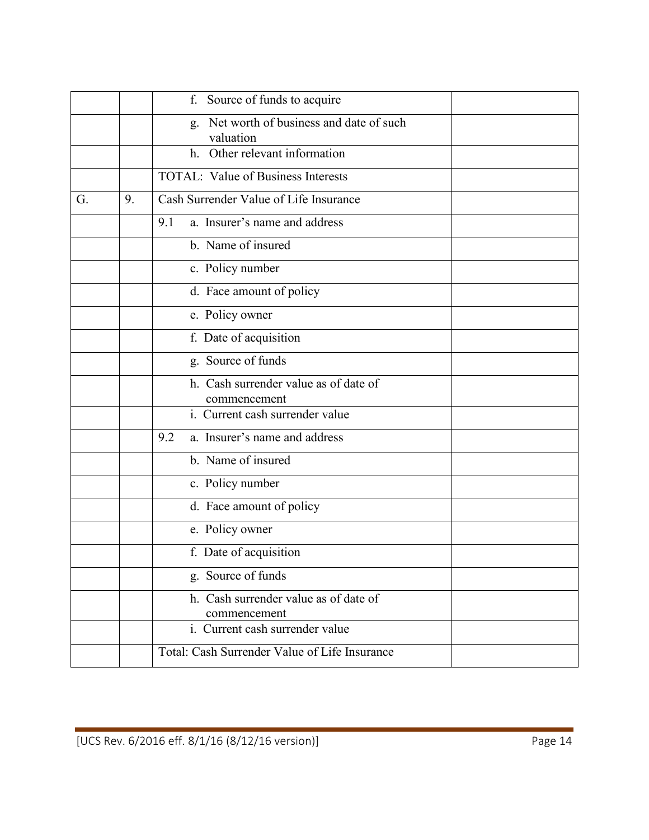|    |    | Source of funds to acquire<br>f.                          |
|----|----|-----------------------------------------------------------|
|    |    | Net worth of business and date of such<br>g.<br>valuation |
|    |    | Other relevant information<br>$h_{\cdot}$                 |
|    |    | <b>TOTAL:</b> Value of Business Interests                 |
| G. | 9. | Cash Surrender Value of Life Insurance                    |
|    |    | a. Insurer's name and address<br>9.1                      |
|    |    | b. Name of insured                                        |
|    |    | c. Policy number                                          |
|    |    | d. Face amount of policy                                  |
|    |    | e. Policy owner                                           |
|    |    | f. Date of acquisition                                    |
|    |    | g. Source of funds                                        |
|    |    | h. Cash surrender value as of date of<br>commencement     |
|    |    | i. Current cash surrender value                           |
|    |    | a. Insurer's name and address<br>9.2                      |
|    |    | b. Name of insured                                        |
|    |    | c. Policy number                                          |
|    |    | d. Face amount of policy                                  |
|    |    | e. Policy owner                                           |
|    |    | f. Date of acquisition                                    |
|    |    | g. Source of funds                                        |
|    |    | h. Cash surrender value as of date of<br>commencement     |
|    |    | i. Current cash surrender value                           |
|    |    | Total: Cash Surrender Value of Life Insurance             |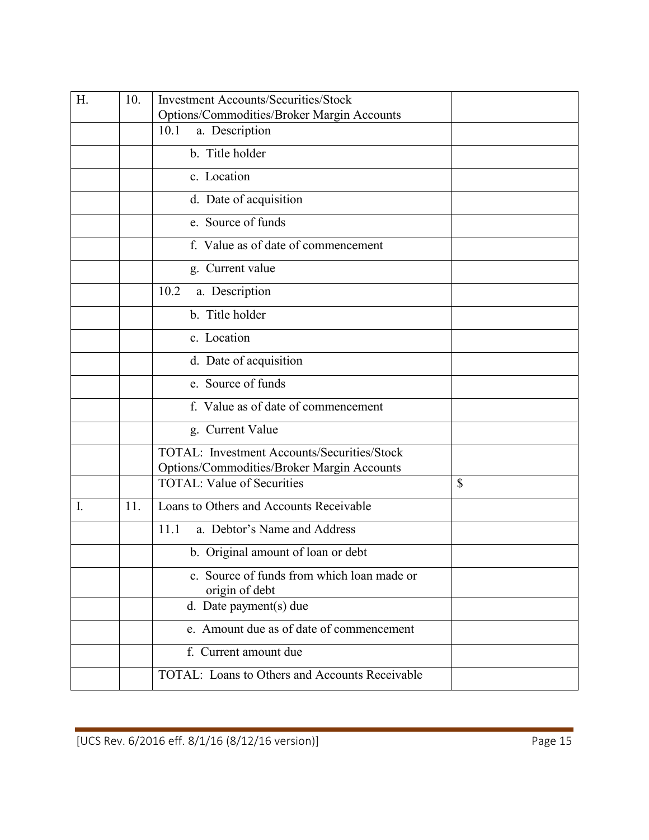| H. | 10. | <b>Investment Accounts/Securities/Stock</b>                  |    |
|----|-----|--------------------------------------------------------------|----|
|    |     | Options/Commodities/Broker Margin Accounts                   |    |
|    |     | 10.1<br>a. Description                                       |    |
|    |     | b. Title holder                                              |    |
|    |     | c. Location                                                  |    |
|    |     | d. Date of acquisition                                       |    |
|    |     | e. Source of funds                                           |    |
|    |     | f. Value as of date of commencement                          |    |
|    |     | g. Current value                                             |    |
|    |     | 10.2<br>a. Description                                       |    |
|    |     | b. Title holder                                              |    |
|    |     | c. Location                                                  |    |
|    |     | d. Date of acquisition                                       |    |
|    |     | e. Source of funds                                           |    |
|    |     | f. Value as of date of commencement                          |    |
|    |     | g. Current Value                                             |    |
|    |     | TOTAL: Investment Accounts/Securities/Stock                  |    |
|    |     | Options/Commodities/Broker Margin Accounts                   |    |
|    |     | <b>TOTAL: Value of Securities</b>                            | \$ |
| I. | 11. | Loans to Others and Accounts Receivable                      |    |
|    |     | 11.1<br>a. Debtor's Name and Address                         |    |
|    |     | b. Original amount of loan or debt                           |    |
|    |     | c. Source of funds from which loan made or<br>origin of debt |    |
|    |     | d. Date payment(s) due                                       |    |
|    |     | e. Amount due as of date of commencement                     |    |
|    |     | f. Current amount due                                        |    |
|    |     | TOTAL: Loans to Others and Accounts Receivable               |    |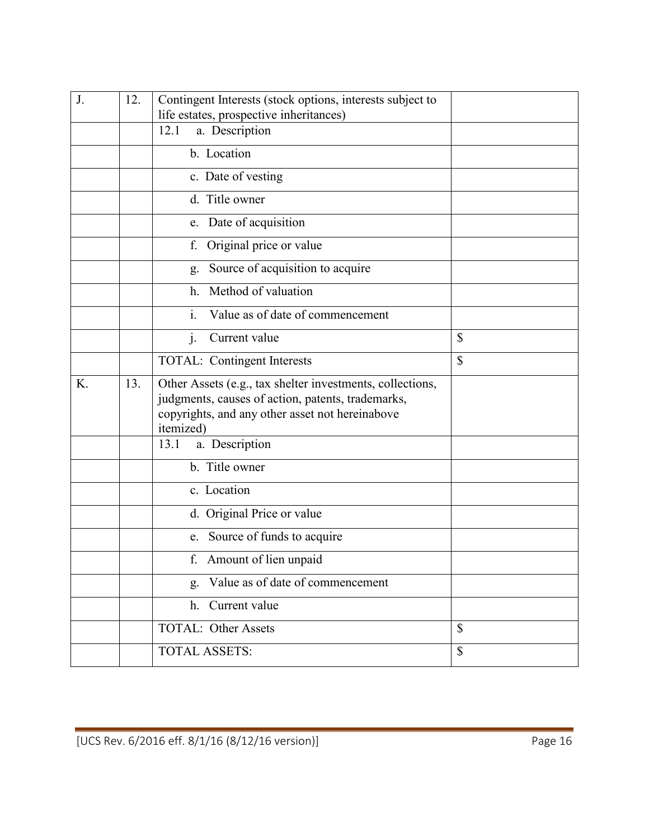| J. | 12. | Contingent Interests (stock options, interests subject to                                                                                                                      |              |
|----|-----|--------------------------------------------------------------------------------------------------------------------------------------------------------------------------------|--------------|
|    |     | life estates, prospective inheritances)<br>a. Description<br>12.1                                                                                                              |              |
|    |     |                                                                                                                                                                                |              |
|    |     | b. Location                                                                                                                                                                    |              |
|    |     | c. Date of vesting                                                                                                                                                             |              |
|    |     | d. Title owner                                                                                                                                                                 |              |
|    |     | e. Date of acquisition                                                                                                                                                         |              |
|    |     | Original price or value<br>f.                                                                                                                                                  |              |
|    |     | Source of acquisition to acquire<br>g.                                                                                                                                         |              |
|    |     | Method of valuation<br>h <sub>1</sub>                                                                                                                                          |              |
|    |     | $\mathbf{i}$ .<br>Value as of date of commencement                                                                                                                             |              |
|    |     | Current value<br>$\mathbf{J}$ .                                                                                                                                                | \$           |
|    |     | TOTAL: Contingent Interests                                                                                                                                                    | \$           |
| Κ. | 13. | Other Assets (e.g., tax shelter investments, collections,<br>judgments, causes of action, patents, trademarks,<br>copyrights, and any other asset not hereinabove<br>itemized) |              |
|    |     | 13.1<br>a. Description                                                                                                                                                         |              |
|    |     | b. Title owner                                                                                                                                                                 |              |
|    |     | c. Location                                                                                                                                                                    |              |
|    |     | d. Original Price or value                                                                                                                                                     |              |
|    |     | e. Source of funds to acquire                                                                                                                                                  |              |
|    |     | f. Amount of lien unpaid                                                                                                                                                       |              |
|    |     | Value as of date of commencement<br>g.                                                                                                                                         |              |
|    |     | Current value<br>h.                                                                                                                                                            |              |
|    |     | <b>TOTAL: Other Assets</b>                                                                                                                                                     | $\mathbb{S}$ |
|    |     | <b>TOTAL ASSETS:</b>                                                                                                                                                           | \$           |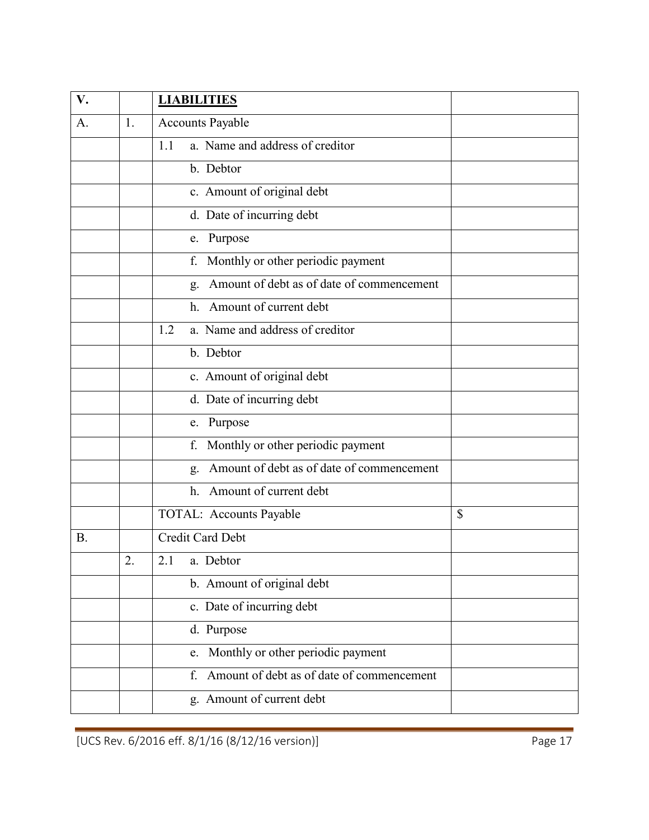| V.        |                | <b>LIABILITIES</b>                              |    |
|-----------|----------------|-------------------------------------------------|----|
| A.        | 1.             | <b>Accounts Payable</b>                         |    |
|           |                | a. Name and address of creditor<br>1.1          |    |
|           |                | b. Debtor                                       |    |
|           |                | c. Amount of original debt                      |    |
|           |                | d. Date of incurring debt                       |    |
|           |                | e. Purpose                                      |    |
|           |                | Monthly or other periodic payment<br>f.         |    |
|           |                | Amount of debt as of date of commencement<br>g. |    |
|           |                | Amount of current debt<br>h.                    |    |
|           |                | a. Name and address of creditor<br>1.2          |    |
|           |                | b. Debtor                                       |    |
|           |                | c. Amount of original debt                      |    |
|           |                | d. Date of incurring debt                       |    |
|           |                | e. Purpose                                      |    |
|           |                | Monthly or other periodic payment<br>f.         |    |
|           |                | Amount of debt as of date of commencement<br>g. |    |
|           |                | Amount of current debt<br>h <sub>1</sub>        |    |
|           |                | <b>TOTAL: Accounts Payable</b>                  | \$ |
| <b>B.</b> |                | Credit Card Debt                                |    |
|           | $\overline{2}$ | 2.1<br>a. Debtor                                |    |
|           |                | b. Amount of original debt                      |    |
|           |                | c. Date of incurring debt                       |    |
|           |                | d. Purpose                                      |    |
|           |                | Monthly or other periodic payment<br>e.         |    |
|           |                | Amount of debt as of date of commencement<br>f. |    |
|           |                | g. Amount of current debt                       |    |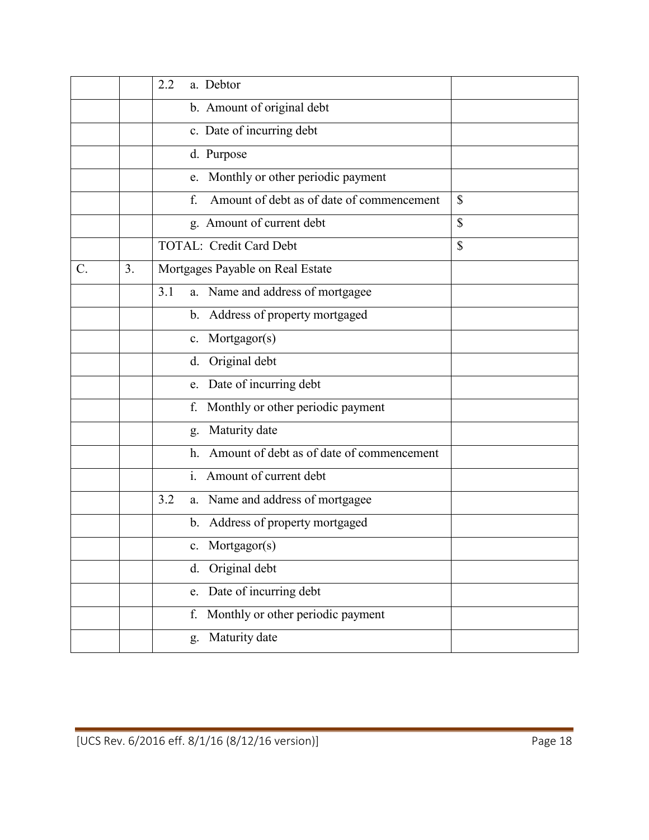|       |    | 2.2<br>a. Debtor                                |    |
|-------|----|-------------------------------------------------|----|
|       |    | b. Amount of original debt                      |    |
|       |    | c. Date of incurring debt                       |    |
|       |    | d. Purpose                                      |    |
|       |    | e. Monthly or other periodic payment            |    |
|       |    | Amount of debt as of date of commencement<br>f. | \$ |
|       |    | g. Amount of current debt                       | \$ |
|       |    | <b>TOTAL: Credit Card Debt</b>                  | \$ |
| $C$ . | 3. | Mortgages Payable on Real Estate                |    |
|       |    | a. Name and address of mortgagee<br>3.1         |    |
|       |    | b. Address of property mortgaged                |    |
|       |    | Mortgagor(s)<br>$c_{\cdot}$                     |    |
|       |    | Original debt<br>d.                             |    |
|       |    | Date of incurring debt<br>e.                    |    |
|       |    | Monthly or other periodic payment<br>f.         |    |
|       |    | Maturity date<br>g.                             |    |
|       |    | Amount of debt as of date of commencement<br>h. |    |
|       |    | $\mathbf{i}$ .<br>Amount of current debt        |    |
|       |    | 3.2<br>a. Name and address of mortgagee         |    |
|       |    | b. Address of property mortgaged                |    |
|       |    | c. Mortgagor(s)                                 |    |
|       |    | Original debt<br>d.                             |    |
|       |    | Date of incurring debt<br>e.                    |    |
|       |    | Monthly or other periodic payment<br>f.         |    |
|       |    | Maturity date<br>g.                             |    |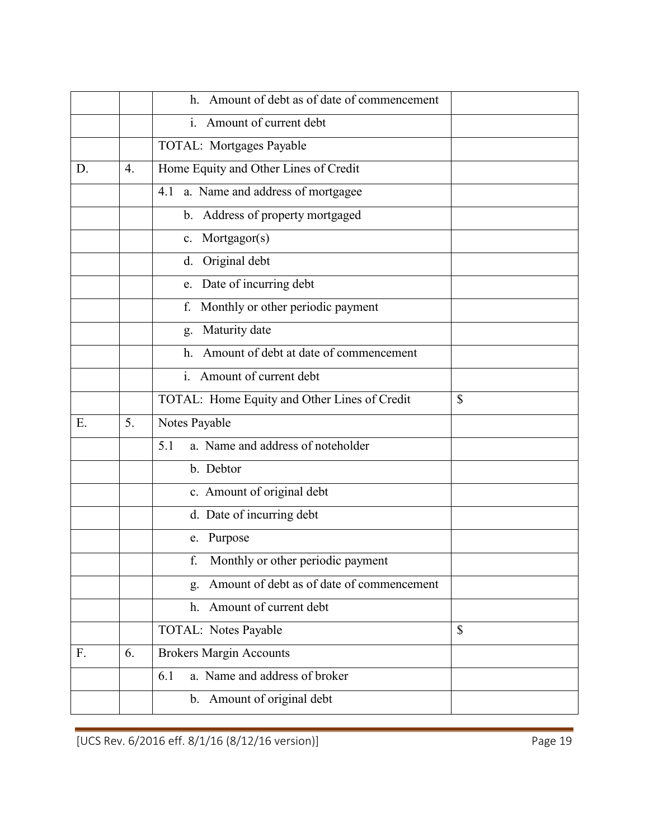|    |    | Amount of debt as of date of commencement<br>h. |              |
|----|----|-------------------------------------------------|--------------|
|    |    | i. Amount of current debt                       |              |
|    |    | TOTAL: Mortgages Payable                        |              |
| D. | 4. | Home Equity and Other Lines of Credit           |              |
|    |    | a. Name and address of mortgagee<br>4.1         |              |
|    |    | b. Address of property mortgaged                |              |
|    |    | c. Mortgagor(s)                                 |              |
|    |    | d. Original debt                                |              |
|    |    | e. Date of incurring debt                       |              |
|    |    | f. Monthly or other periodic payment            |              |
|    |    | g. Maturity date                                |              |
|    |    | Amount of debt at date of commencement<br>h.    |              |
|    |    | i. Amount of current debt                       |              |
|    |    | TOTAL: Home Equity and Other Lines of Credit    | $\mathbb{S}$ |
| Ε. | 5. | Notes Payable                                   |              |
|    |    | a. Name and address of noteholder<br>5.1        |              |
|    |    | b. Debtor                                       |              |
|    |    | c. Amount of original debt                      |              |
|    |    | d. Date of incurring debt                       |              |
|    |    | e. Purpose                                      |              |
|    |    | Monthly or other periodic payment<br>f.         |              |
|    |    | Amount of debt as of date of commencement<br>g. |              |
|    |    | Amount of current debt<br>h.                    |              |
|    |    | TOTAL: Notes Payable                            | $\mathbb{S}$ |
| F. | 6. | <b>Brokers Margin Accounts</b>                  |              |
|    |    | a. Name and address of broker<br>6.1            |              |
|    |    | b. Amount of original debt                      |              |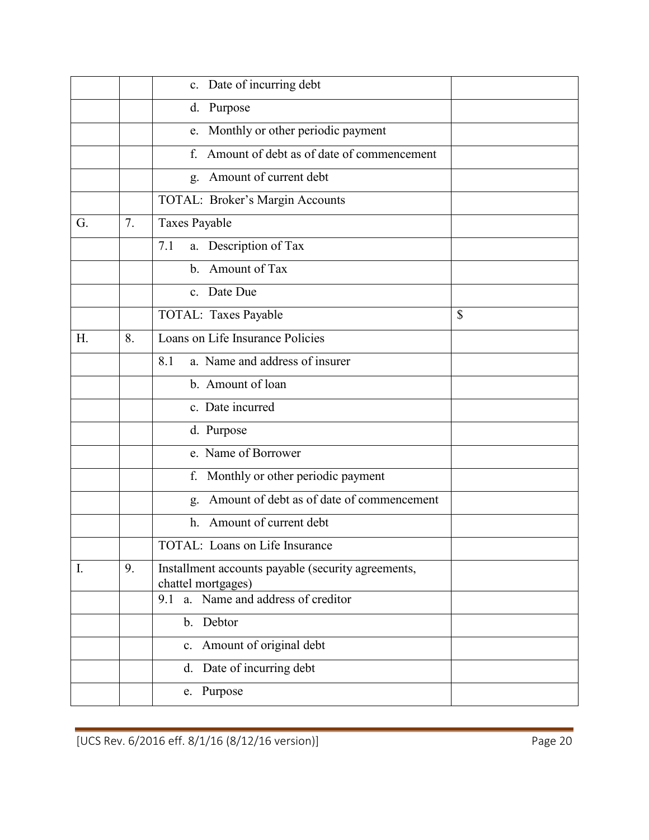|    |    | c. Date of incurring debt                                                |    |
|----|----|--------------------------------------------------------------------------|----|
|    |    | Purpose<br>d.                                                            |    |
|    |    | e. Monthly or other periodic payment                                     |    |
|    |    | Amount of debt as of date of commencement<br>f.                          |    |
|    |    | Amount of current debt<br>g.                                             |    |
|    |    | TOTAL: Broker's Margin Accounts                                          |    |
| G. | 7. | Taxes Payable                                                            |    |
|    |    | a. Description of Tax<br>7.1                                             |    |
|    |    | b. Amount of Tax                                                         |    |
|    |    | c. Date Due                                                              |    |
|    |    | TOTAL: Taxes Payable                                                     | \$ |
| H. | 8. | Loans on Life Insurance Policies                                         |    |
|    |    | a. Name and address of insurer<br>8.1                                    |    |
|    |    | b. Amount of loan                                                        |    |
|    |    | c. Date incurred                                                         |    |
|    |    | d. Purpose                                                               |    |
|    |    | e. Name of Borrower                                                      |    |
|    |    | Monthly or other periodic payment<br>f.                                  |    |
|    |    | Amount of debt as of date of commencement<br>g.                          |    |
|    |    | Amount of current debt<br>h.                                             |    |
|    |    | TOTAL: Loans on Life Insurance                                           |    |
| I. | 9. | Installment accounts payable (security agreements,<br>chattel mortgages) |    |
|    |    | a. Name and address of creditor<br>9.1                                   |    |
|    |    | b. Debtor                                                                |    |
|    |    | c. Amount of original debt                                               |    |
|    |    | Date of incurring debt<br>d.                                             |    |
|    |    | e. Purpose                                                               |    |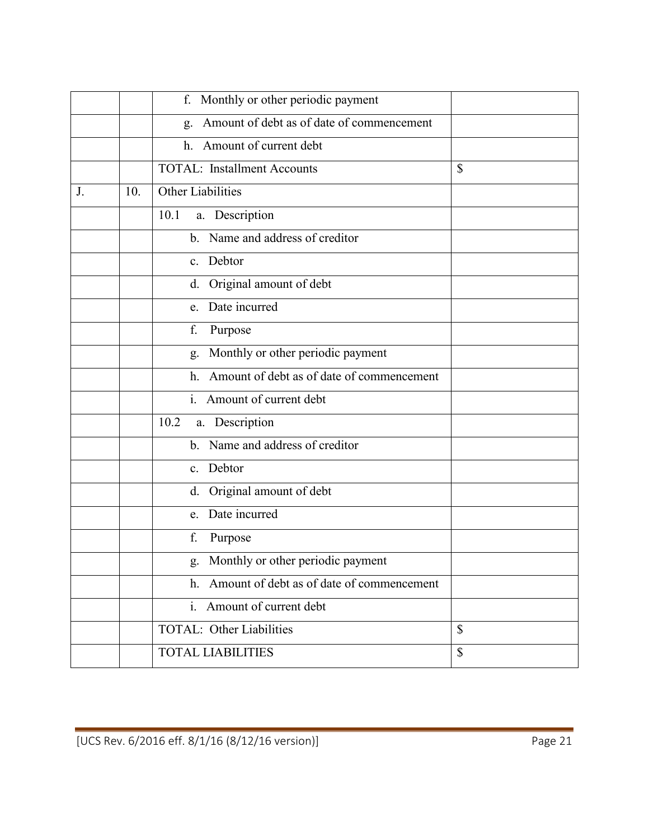|    |     | f. Monthly or other periodic payment            |    |
|----|-----|-------------------------------------------------|----|
|    |     | Amount of debt as of date of commencement<br>g. |    |
|    |     | h. Amount of current debt                       |    |
|    |     | <b>TOTAL:</b> Installment Accounts              | \$ |
| J. | 10. | Other Liabilities                               |    |
|    |     | a. Description<br>10.1                          |    |
|    |     | b. Name and address of creditor                 |    |
|    |     | c. Debtor                                       |    |
|    |     | Original amount of debt<br>d.                   |    |
|    |     | e. Date incurred                                |    |
|    |     | f.<br>Purpose                                   |    |
|    |     | Monthly or other periodic payment<br>g.         |    |
|    |     | Amount of debt as of date of commencement<br>h. |    |
|    |     | i. Amount of current debt                       |    |
|    |     | 10.2<br>a. Description                          |    |
|    |     | b. Name and address of creditor                 |    |
|    |     | Debtor<br>$\mathbf{c}$ .                        |    |
|    |     | Original amount of debt<br>d.                   |    |
|    |     | Date incurred<br>e.                             |    |
|    |     | f.<br>Purpose                                   |    |
|    |     | g. Monthly or other periodic payment            |    |
|    |     | h. Amount of debt as of date of commencement    |    |
|    |     | i. Amount of current debt                       |    |
|    |     | <b>TOTAL: Other Liabilities</b>                 | \$ |
|    |     | <b>TOTAL LIABILITIES</b>                        | \$ |